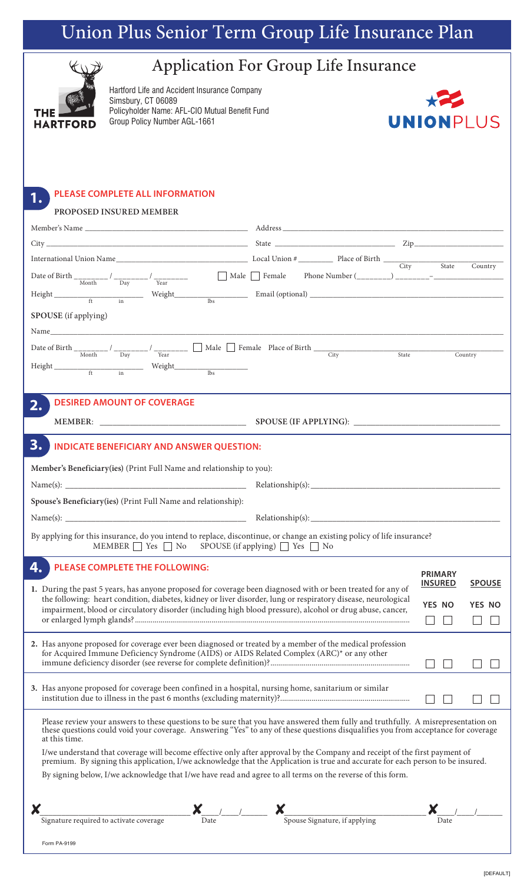# Union Plus Senior Term Group Life Insurance Plan



# Application For Group Life Insurance

Hartford Life and Accident Insurance Company Simsbury, CT 06089 Policyholder Name: AFL-CIO Mutual Benefit Fund Group Policy Number AGL-1661



## **PLEASE COMPLETE ALL INFORMATION 1. PROPOSED INSURED MEMBER** Member's Name \_\_\_\_\_\_\_\_\_\_\_\_\_\_\_\_\_\_\_\_\_\_\_\_\_\_\_\_\_\_\_\_\_\_\_\_\_\_\_\_\_\_ Address \_\_\_\_\_\_\_\_\_\_\_\_\_\_\_\_\_\_\_\_\_\_\_\_\_\_\_\_\_\_\_\_\_\_\_\_\_\_\_\_\_\_\_\_\_\_\_\_\_\_\_\_\_\_\_\_\_  $City$   $\frac{1}{2}$   $\frac{1}{2}$   $\frac{1}{2}$   $\frac{1}{2}$   $\frac{1}{2}$   $\frac{1}{2}$   $\frac{1}{2}$   $\frac{1}{2}$   $\frac{1}{2}$   $\frac{1}{2}$   $\frac{1}{2}$   $\frac{1}{2}$   $\frac{1}{2}$   $\frac{1}{2}$   $\frac{1}{2}$   $\frac{1}{2}$   $\frac{1}{2}$   $\frac{1}{2}$   $\frac{1}{2}$   $\frac{1}{2}$   $\frac{1}{2}$   $\frac{1}{$ International Union Name\_\_\_\_\_\_\_\_\_\_\_\_\_\_\_\_\_\_\_\_\_\_\_\_\_\_\_\_\_\_\_\_\_\_ Local Union # \_\_\_\_\_\_\_\_\_ Place of Birth \_\_\_\_\_\_\_\_\_\_\_\_\_\_\_\_\_\_\_\_\_\_\_\_\_\_\_\_\_\_\_ City State Country Date of Birth  $\frac{1}{\text{Month}}$  /  $\frac{1}{\text{Day}}$  /  $\frac{1}{\text{Year}}$  /  $\frac{1}{\text{Year}}$  /  $\frac{1}{\text{Mean}}$  /  $\frac{1}{\text{Mean}}$  /  $\frac{1}{\text{Mean}}$  /  $\frac{1}{\text{Mean}}$  /  $\frac{1}{\text{Mean}}$  /  $\frac{1}{\text{Mean}}$  /  $\frac{1}{\text{Mean}}$  /  $\frac{1}{\text{Mean}}$  /  $\frac{1}{\text{Mean}}$  /  $\frac{1}{\text{Mean}}$ Height \_\_\_\_\_\_\_\_\_\_\_\_\_\_\_\_\_\_\_\_\_\_\_ Weight\_\_\_\_\_\_\_\_\_\_\_\_\_\_\_\_\_\_\_ Email (optional) \_\_\_\_\_\_\_\_\_\_\_\_\_\_\_\_\_\_\_\_\_\_\_\_\_\_\_\_\_\_\_\_\_\_\_\_\_\_\_\_\_\_\_\_\_\_\_\_\_\_ ft in lbs **SPOUSE** (if applying) Name\_\_\_\_\_\_\_\_\_\_\_\_\_\_\_\_\_\_\_\_\_\_\_\_\_\_\_\_\_\_\_\_\_\_\_\_\_\_\_\_\_\_\_\_\_\_\_\_\_\_\_\_\_\_\_\_\_\_\_\_\_\_\_\_\_\_\_\_\_\_\_\_\_\_\_\_\_\_\_\_\_\_\_\_\_\_\_\_\_\_\_\_\_\_\_\_\_\_\_\_\_\_\_\_\_\_\_\_\_\_\_\_\_\_\_\_\_ Date of Birth  $\frac{1}{\text{Month}}$  /  $\frac{1}{\text{Year}}$  /  $\frac{1}{\text{Year}}$  Male  $\Box$  Female Place of Birth  $\frac{City}{\text{City}}$  State Country  ${\bf Height}\begin{tabular}{c} {\bf height} \\ {\bf ft}\end{tabular} \begin{tabular}{c} {\bf height} \\ {\bf 1b} \\ {\bf 1b} \\ {\bf 2d} \\ {\bf 3d} \\ {\bf 4d} \\ {\bf 5d} \\ {\bf 6d} \\ {\bf 7d} \\ {\bf 8d} \\ {\bf 8d} \\ {\bf 8d} \\ {\bf 9d} \\ {\bf 1d} \\ {\bf 1d} \\ {\bf 1d} \\ {\bf 1d} \\ {\bf 1d} \\ {\bf 1d} \\ {\bf 1d} \\ {\bf 1d} \\ {\bf 1d} \\ {\bf 1d} \\ {\bf 1d} \\ {\bf 1d} \\ {\bf 1d} \\ {\bf 1d} \\$ **DESIRED AMOUNT OF COVERAGE 2. MEMBER**: **\_\_\_\_\_\_\_\_\_\_\_\_\_\_\_\_\_\_\_\_\_\_\_\_\_\_\_\_\_\_\_\_\_\_ SPOUSE (IF APPLYING)**: \_\_\_\_\_\_\_\_\_\_\_\_\_\_\_\_\_\_\_\_\_\_\_\_\_\_\_\_\_\_\_\_\_\_ **3. INDICATE BENEFICIARY AND ANSWER QUESTION: Member's Beneficiary(ies)** (Print Full Name and relationship to you): Name(s): \_\_\_\_\_\_\_\_\_\_\_\_\_\_\_\_\_\_\_\_\_\_\_\_\_\_\_\_\_\_\_\_\_\_\_\_\_\_\_\_\_\_ Relationship(s): \_\_\_\_\_\_\_\_\_\_\_\_\_\_\_\_\_\_\_\_\_\_\_\_\_\_\_\_\_\_\_\_\_\_\_\_\_\_\_\_\_\_\_\_ **Spouse's Beneficiary(ies)** (Print Full Name and relationship): Name(s): \_\_\_\_\_\_\_\_\_\_\_\_\_\_\_\_\_\_\_\_\_\_\_\_\_\_\_\_\_\_\_\_\_\_\_\_\_\_\_\_\_\_ Relationship(s): \_\_\_\_\_\_\_\_\_\_\_\_\_\_\_\_\_\_\_\_\_\_\_\_\_\_\_\_\_\_\_\_\_\_\_\_\_\_\_\_\_\_\_\_ By applying for this insurance, do you intend to replace, discontinue, or change an existing policy of life insurance? MEMBER  $\Box$  Yes  $\Box$  No SPOUSE (if applying)  $\Box$  Yes  $\Box$  No **PLEASE COMPLETE THE FOLLOWING: 4. PRIMARY INSURED SPOUSE 1.** During the past 5 years, has anyone proposed for coverage been diagnosed with or been treated for any of the following: heart condition, diabetes, kidney or liver disorder, lung or respiratory disease, neurological **YES NO YES NO** impairment, blood or circulatory disorder (including high blood pressure), alcohol or drug abuse, cancer, or enlarged lymph glands?............................................................................................................................................  $\Box$   $\Box$  $\square$   $\square$ **2.** Has anyone proposed for coverage ever been diagnosed or treated by a member of the medical profession for Acquired Immune Deficiency Syndrome (AIDS) or AIDS Related Complex (ARC)\* or any other immune deficiency disorder (see reverse for complete definition)?.......................................................................  $\Box$  $\Box$  $\Box$  $\Box$ **3.** Has anyone proposed for coverage been confined in a hospital, nursing home, sanitarium or similar institution due to illness in the past 6 months (excluding maternity)?..................................................................  $\Box$   $\Box$  $\Box$  $\Box$

Please review your answers to these questions to be sure that you have answered them fully and truthfully. A misrepresentation on these questions could void your coverage. Answering "Yes" to any of these questions disqualifies you from acceptance for coverage at this time.

I/we understand that coverage will become effective only after approval by the Company and receipt of the first payment of premium. By signing this application, I/we acknowledge that the Application is true and accurate for each person to be insured.

By signing below, I/we acknowledge that I/we have read and agree to all terms on the reverse of this form.